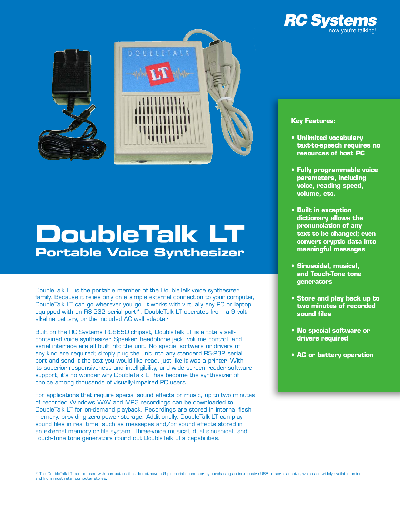



# **DoubleTalk LT Portable Voice Synthesizer**

DoubleTalk LT is the portable member of the DoubleTalk voice synthesizer family. Because it relies only on a simple external connection to your computer, DoubleTalk LT can go wherever you go. It works with virtually any PC or laptop equipped with an RS-232 serial port\*. DoubleTalk LT operates from a 9 volt alkaline battery, or the included AC wall adapter.

Built on the RC Systems RC8650 chipset, DoubleTalk LT is a totally selfcontained voice synthesizer. Speaker, headphone jack, volume control, and serial interface are all built into the unit. No special software or drivers of any kind are required; simply plug the unit into any standard RS-232 serial port and send it the text you would like read, just like it was a printer. With its superior responsiveness and intelligibility, and wide screen reader software support, it's no wonder why DoubleTalk LT has become the synthesizer of choice among thousands of visually-impaired PC users.

For applications that require special sound effects or music, up to two minutes of recorded Windows WAV and MP3 recordings can be downloaded to DoubleTalk LT for on-demand playback. Recordings are stored in internal flash memory, providing zero-power storage. Additionally, DoubleTalk LT can play sound files in real time, such as messages and/or sound effects stored in an external memory or file system. Three-voice musical, dual sinusoidal, and Touch-Tone tone generators round out DoubleTalk LT's capabilities.

### **Key Features:**

- **• Unlimited vocabulary text-to-speech requires no resources of host PC**
- **• Fully programmable voice parameters, including voice, reading speed, volume, etc.**
- **• Built in exception dictionary allows the pronunciation of any text to be changed; even convert cryptic data into meaningful messages**
- **• Sinusoidal, musical, and Touch-Tone tone generators**
- **• Store and play back up to two minutes of recorded sound files**
- **• No special software or drivers required**
- **• AC or battery operation**

\* The DoubleTalk LT can be used with computers that do not have a 9 pin serial connector by purchasing an inexpensive USB to serial adapter, which are widely available online and from most retail computer stores.